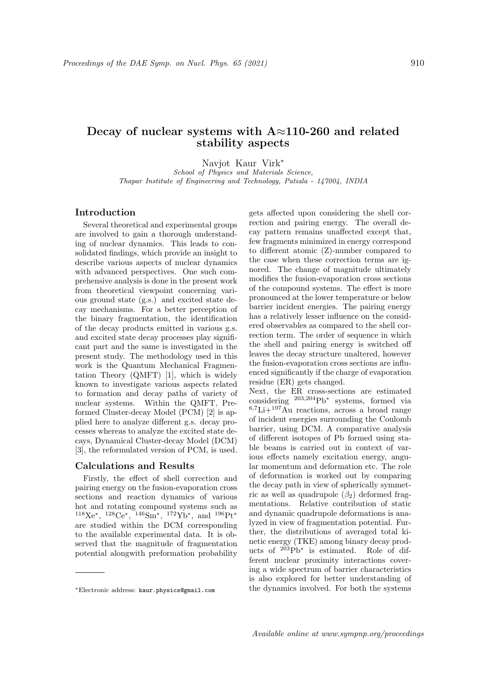# **Decay of nuclear systems with A***≈***110-260 and related stability aspects**

Navjot Kaur Virk*<sup>∗</sup>*

*School of Physics and Materials Science, Thapar Institute of Engineering and Technology, Patiala - 147004, INDIA*

## **Introduction**

Several theoretical and experimental groups are involved to gain a thorough understanding of nuclear dynamics. This leads to consolidated findings, which provide an insight to describe various aspects of nuclear dynamics with advanced perspectives. One such comprehensive analysis is done in the present work from theoretical viewpoint concerning various ground state (g.s.) and excited state decay mechanisms. For a better perception of the binary fragmentation, the identification of the decay products emitted in various g.s. and excited state decay processes play significant part and the same is investigated in the present study. The methodology used in this work is the Quantum Mechanical Fragmentation Theory (QMFT) [1], which is widely known to investigate various aspects related to formation and decay paths of variety of nuclear systems. Within the QMFT, Preformed Cluster-decay Model (PCM) [2] is applied here to analyze different g.s. decay processes whereas to analyze the excited state decays, Dynamical Cluster-decay Model (DCM) [3], the reformulated version of PCM, is used.

#### **Calculations and Results**

Firstly, the effect of shell correction and pairing energy on the fusion-evaporation cross sections and reaction dynamics of various hot and rotating compound systems such as <sup>118</sup>Xe*<sup>∗</sup>* , <sup>128</sup>Ce*<sup>∗</sup>* , <sup>146</sup>Sm*<sup>∗</sup>* , <sup>172</sup>Yb*<sup>∗</sup>* , and <sup>196</sup>Pt*<sup>∗</sup>* are studied within the DCM corresponding to the available experimental data. It is observed that the magnitude of fragmentation potential alongwith preformation probability

gets affected upon considering the shell correction and pairing energy. The overall decay pattern remains unaffected except that, few fragments minimized in energy correspond to different atomic (Z)-number compared to the case when these correction terms are ignored. The change of magnitude ultimately modifies the fusion-evaporation cross sections of the compound systems. The effect is more pronounced at the lower temperature or below barrier incident energies. The pairing energy has a relatively lesser influence on the considered observables as compared to the shell correction term. The order of sequence in which the shell and pairing energy is switched off leaves the decay structure unaltered, however the fusion-evaporation cross sections are influenced significantly if the charge of evaporation residue (ER) gets changed.

Next, the ER cross-sections are estimated considering <sup>203</sup>*,*<sup>204</sup>Pb*<sup>∗</sup>* systems, formed via <sup>6</sup>*,*<sup>7</sup>Li+<sup>197</sup>Au reactions, across a broad range of incident energies surrounding the Coulomb barrier, using DCM. A comparative analysis of different isotopes of Pb formed using stable beams is carried out in context of various effects namely excitation energy, angular momentum and deformation etc. The role of deformation is worked out by comparing the decay path in view of spherically symmetric as well as quadrupole  $(\beta_2)$  deformed fragmentations. Relative contribution of static and dynamic quadrupole deformations is analyzed in view of fragmentation potential. Further, the distributions of averaged total kinetic energy (TKE) among binary decay products of <sup>203</sup>Pb*<sup>∗</sup>* is estimated. Role of different nuclear proximity interactions covering a wide spectrum of barrier characteristics is also explored for better understanding of the dynamics involved. For both the systems

*<sup>∗</sup>*Electronic address: kaur.physics@gmail.com